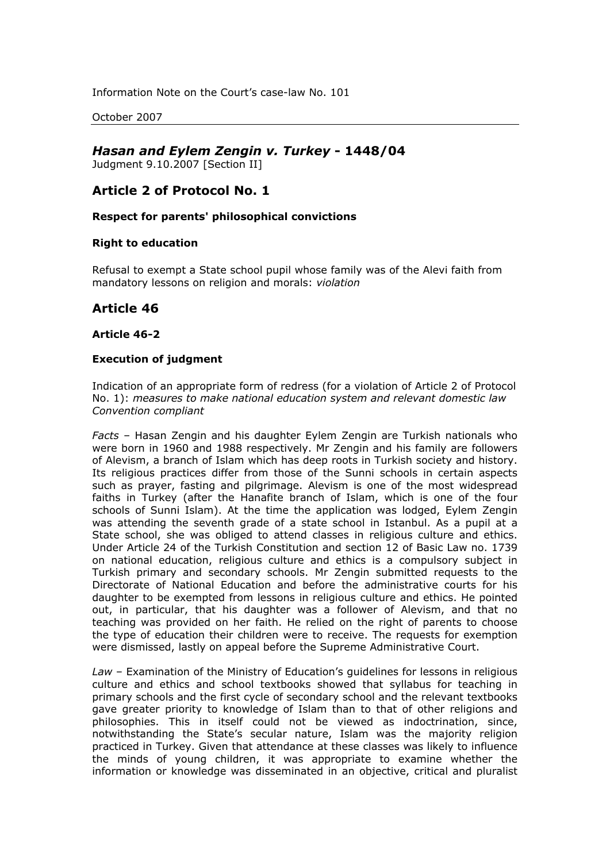Information Note on the Court's case-law No. 101

October 2007

# *Hasan and Eylem Zengin v. Turkey* **- 1448/04**

Judgment 9.10.2007 [Section II]

## **Article 2 of Protocol No. 1**

**Respect for parents' philosophical convictions**

### **Right to education**

Refusal to exempt a State school pupil whose family was of the Alevi faith from mandatory lessons on religion and morals: *violation*

## **Article 46**

#### **Article 46-2**

### **Execution of judgment**

Indication of an appropriate form of redress (for a violation of Article 2 of Protocol No. 1): *measures to make national education system and relevant domestic law Convention compliant*

*Facts* – Hasan Zengin and his daughter Eylem Zengin are Turkish nationals who were born in 1960 and 1988 respectively. Mr Zengin and his family are followers of Alevism, a branch of Islam which has deep roots in Turkish society and history. Its religious practices differ from those of the Sunni schools in certain aspects such as prayer, fasting and pilgrimage. Alevism is one of the most widespread faiths in Turkey (after the Hanafite branch of Islam, which is one of the four schools of Sunni Islam). At the time the application was lodged, Eylem Zengin was attending the seventh grade of a state school in Istanbul. As a pupil at a State school, she was obliged to attend classes in religious culture and ethics. Under Article 24 of the Turkish Constitution and section 12 of Basic Law no. 1739 on national education, religious culture and ethics is a compulsory subject in Turkish primary and secondary schools. Mr Zengin submitted requests to the Directorate of National Education and before the administrative courts for his daughter to be exempted from lessons in religious culture and ethics. He pointed out, in particular, that his daughter was a follower of Alevism, and that no teaching was provided on her faith. He relied on the right of parents to choose the type of education their children were to receive. The requests for exemption were dismissed, lastly on appeal before the Supreme Administrative Court.

*Law* – Examination of the Ministry of Education's guidelines for lessons in religious culture and ethics and school textbooks showed that syllabus for teaching in primary schools and the first cycle of secondary school and the relevant textbooks gave greater priority to knowledge of Islam than to that of other religions and philosophies. This in itself could not be viewed as indoctrination, since, notwithstanding the State's secular nature, Islam was the majority religion practiced in Turkey. Given that attendance at these classes was likely to influence the minds of young children, it was appropriate to examine whether the information or knowledge was disseminated in an objective, critical and pluralist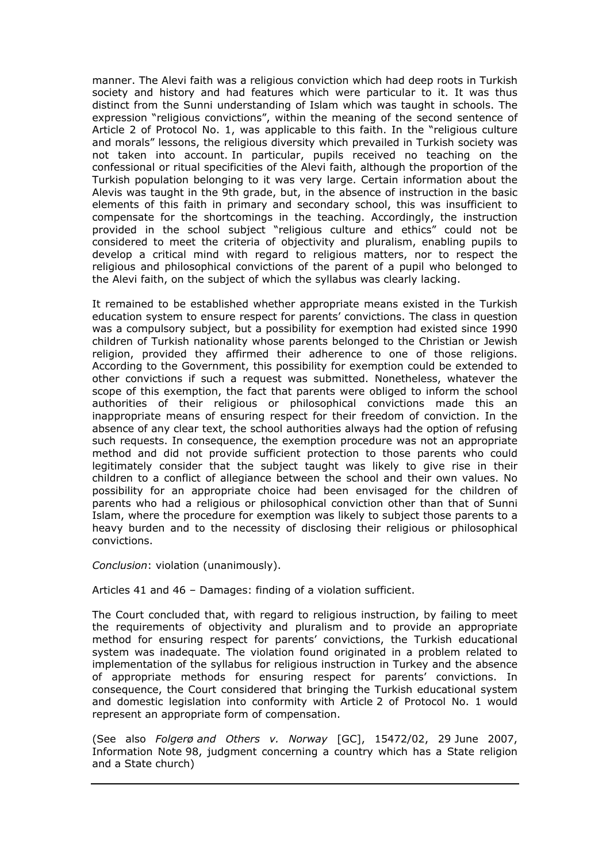manner. The Alevi faith was a religious conviction which had deep roots in Turkish society and history and had features which were particular to it. It was thus distinct from the Sunni understanding of Islam which was taught in schools. The expression "religious convictions", within the meaning of the second sentence of Article 2 of Protocol No. 1, was applicable to this faith. In the "religious culture and morals" lessons, the religious diversity which prevailed in Turkish society was not taken into account. In particular, pupils received no teaching on the confessional or ritual specificities of the Alevi faith, although the proportion of the Turkish population belonging to it was very large. Certain information about the Alevis was taught in the 9th grade, but, in the absence of instruction in the basic elements of this faith in primary and secondary school, this was insufficient to compensate for the shortcomings in the teaching. Accordingly, the instruction provided in the school subject "religious culture and ethics" could not be considered to meet the criteria of objectivity and pluralism, enabling pupils to develop a critical mind with regard to religious matters, nor to respect the religious and philosophical convictions of the parent of a pupil who belonged to the Alevi faith, on the subject of which the syllabus was clearly lacking.

It remained to be established whether appropriate means existed in the Turkish education system to ensure respect for parents' convictions. The class in question was a compulsory subject, but a possibility for exemption had existed since 1990 children of Turkish nationality whose parents belonged to the Christian or Jewish religion, provided they affirmed their adherence to one of those religions. According to the Government, this possibility for exemption could be extended to other convictions if such a request was submitted. Nonetheless, whatever the scope of this exemption, the fact that parents were obliged to inform the school authorities of their religious or philosophical convictions made this an inappropriate means of ensuring respect for their freedom of conviction. In the absence of any clear text, the school authorities always had the option of refusing such requests. In consequence, the exemption procedure was not an appropriate method and did not provide sufficient protection to those parents who could legitimately consider that the subject taught was likely to give rise in their children to a conflict of allegiance between the school and their own values. No possibility for an appropriate choice had been envisaged for the children of parents who had a religious or philosophical conviction other than that of Sunni Islam, where the procedure for exemption was likely to subject those parents to a heavy burden and to the necessity of disclosing their religious or philosophical convictions.

*Conclusion*: violation (unanimously).

Articles 41 and 46 – Damages: finding of a violation sufficient.

The Court concluded that, with regard to religious instruction, by failing to meet the requirements of objectivity and pluralism and to provide an appropriate method for ensuring respect for parents' convictions, the Turkish educational system was inadequate. The violation found originated in a problem related to implementation of the syllabus for religious instruction in Turkey and the absence of appropriate methods for ensuring respect for parents' convictions. In consequence, the Court considered that bringing the Turkish educational system and domestic legislation into conformity with Article 2 of Protocol No. 1 would represent an appropriate form of compensation.

(See also *Folgerø and Others v. Norway* [GC], 15472/02, 29 June 2007, Information Note 98, judgment concerning a country which has a State religion and a State church)